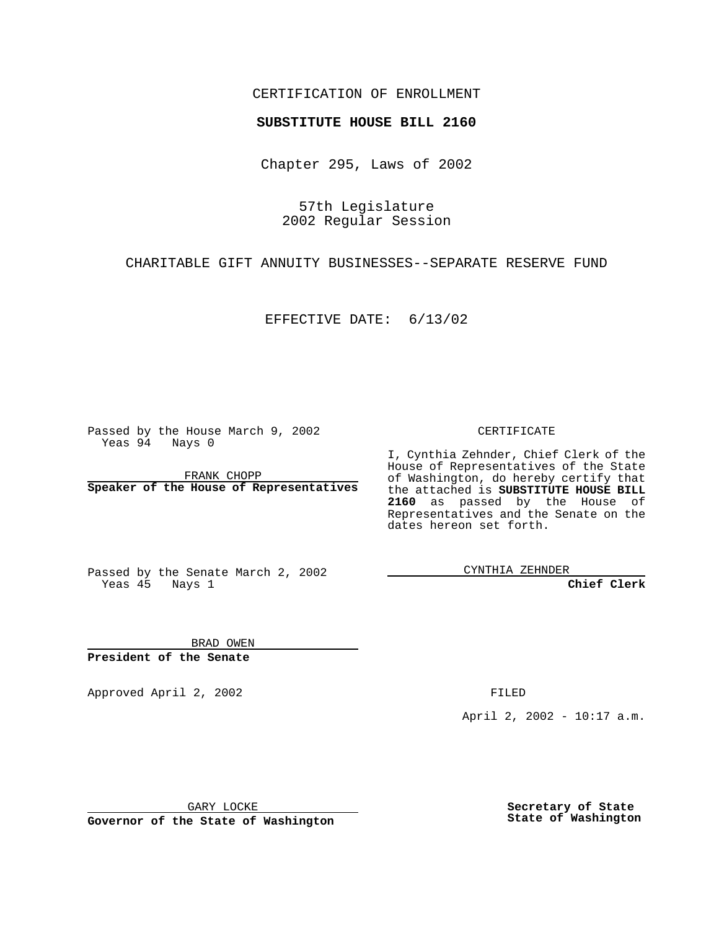## CERTIFICATION OF ENROLLMENT

## **SUBSTITUTE HOUSE BILL 2160**

Chapter 295, Laws of 2002

57th Legislature 2002 Regular Session

CHARITABLE GIFT ANNUITY BUSINESSES--SEPARATE RESERVE FUND

EFFECTIVE DATE: 6/13/02

Passed by the House March 9, 2002 Yeas 94 Nays 0

FRANK CHOPP **Speaker of the House of Representatives** CERTIFICATE

I, Cynthia Zehnder, Chief Clerk of the House of Representatives of the State of Washington, do hereby certify that the attached is **SUBSTITUTE HOUSE BILL 2160** as passed by the House of Representatives and the Senate on the dates hereon set forth.

Passed by the Senate March 2, 2002 Yeas 45 Nays 1

CYNTHIA ZEHNDER

**Chief Clerk**

BRAD OWEN **President of the Senate**

Approved April 2, 2002 **FILED** 

April 2, 2002 - 10:17 a.m.

GARY LOCKE

**Governor of the State of Washington**

**Secretary of State State of Washington**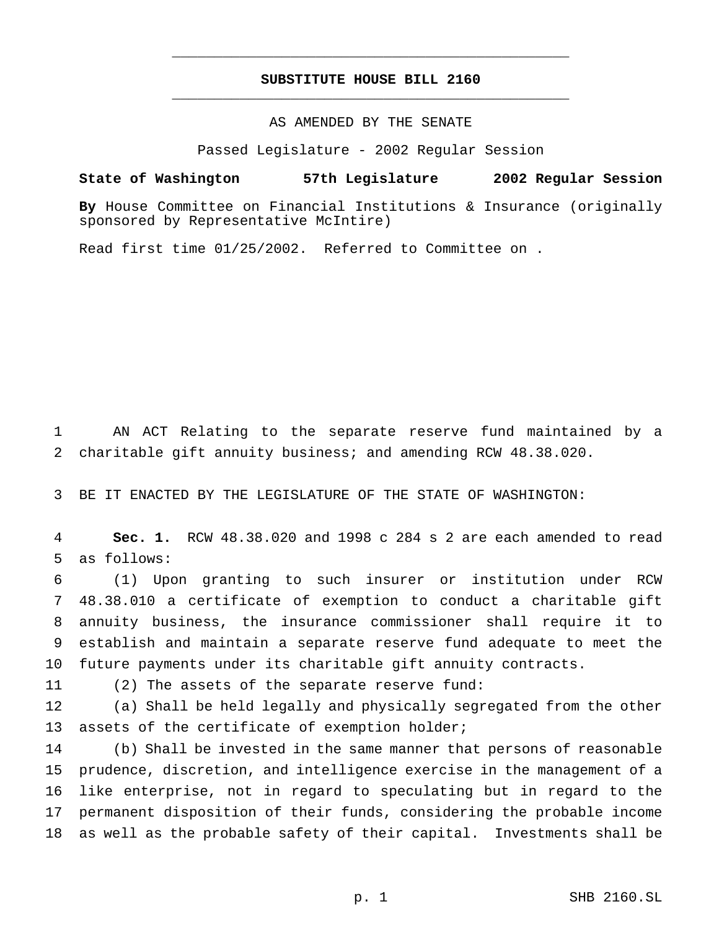## **SUBSTITUTE HOUSE BILL 2160** \_\_\_\_\_\_\_\_\_\_\_\_\_\_\_\_\_\_\_\_\_\_\_\_\_\_\_\_\_\_\_\_\_\_\_\_\_\_\_\_\_\_\_\_\_\_\_

\_\_\_\_\_\_\_\_\_\_\_\_\_\_\_\_\_\_\_\_\_\_\_\_\_\_\_\_\_\_\_\_\_\_\_\_\_\_\_\_\_\_\_\_\_\_\_

AS AMENDED BY THE SENATE

Passed Legislature - 2002 Regular Session

## **State of Washington 57th Legislature 2002 Regular Session**

**By** House Committee on Financial Institutions & Insurance (originally sponsored by Representative McIntire)

Read first time 01/25/2002. Referred to Committee on .

 AN ACT Relating to the separate reserve fund maintained by a charitable gift annuity business; and amending RCW 48.38.020.

BE IT ENACTED BY THE LEGISLATURE OF THE STATE OF WASHINGTON:

 **Sec. 1.** RCW 48.38.020 and 1998 c 284 s 2 are each amended to read as follows:

 (1) Upon granting to such insurer or institution under RCW 48.38.010 a certificate of exemption to conduct a charitable gift annuity business, the insurance commissioner shall require it to establish and maintain a separate reserve fund adequate to meet the future payments under its charitable gift annuity contracts.

(2) The assets of the separate reserve fund:

 (a) Shall be held legally and physically segregated from the other 13 assets of the certificate of exemption holder;

 (b) Shall be invested in the same manner that persons of reasonable prudence, discretion, and intelligence exercise in the management of a like enterprise, not in regard to speculating but in regard to the permanent disposition of their funds, considering the probable income as well as the probable safety of their capital. Investments shall be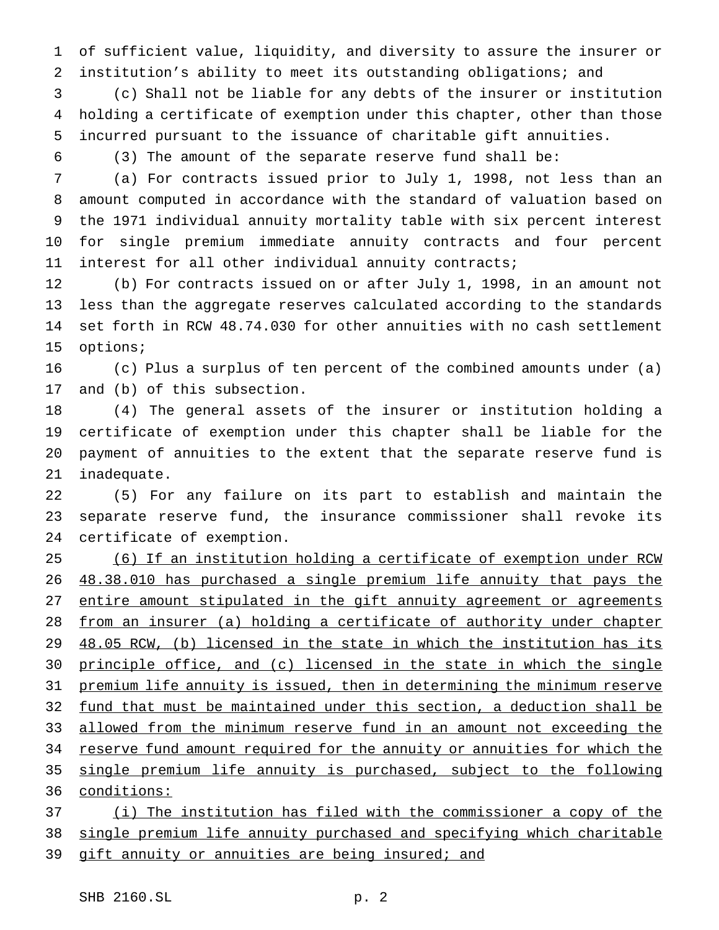of sufficient value, liquidity, and diversity to assure the insurer or institution's ability to meet its outstanding obligations; and

 (c) Shall not be liable for any debts of the insurer or institution holding a certificate of exemption under this chapter, other than those incurred pursuant to the issuance of charitable gift annuities.

(3) The amount of the separate reserve fund shall be:

 (a) For contracts issued prior to July 1, 1998, not less than an amount computed in accordance with the standard of valuation based on the 1971 individual annuity mortality table with six percent interest for single premium immediate annuity contracts and four percent interest for all other individual annuity contracts;

 (b) For contracts issued on or after July 1, 1998, in an amount not less than the aggregate reserves calculated according to the standards set forth in RCW 48.74.030 for other annuities with no cash settlement options;

 (c) Plus a surplus of ten percent of the combined amounts under (a) and (b) of this subsection.

 (4) The general assets of the insurer or institution holding a certificate of exemption under this chapter shall be liable for the payment of annuities to the extent that the separate reserve fund is inadequate.

 (5) For any failure on its part to establish and maintain the separate reserve fund, the insurance commissioner shall revoke its certificate of exemption.

 (6) If an institution holding a certificate of exemption under RCW 48.38.010 has purchased a single premium life annuity that pays the entire amount stipulated in the gift annuity agreement or agreements from an insurer (a) holding a certificate of authority under chapter 48.05 RCW, (b) licensed in the state in which the institution has its principle office, and (c) licensed in the state in which the single premium life annuity is issued, then in determining the minimum reserve fund that must be maintained under this section, a deduction shall be allowed from the minimum reserve fund in an amount not exceeding the 34 reserve fund amount required for the annuity or annuities for which the single premium life annuity is purchased, subject to the following conditions: (i) The institution has filed with the commissioner a copy of the

single premium life annuity purchased and specifying which charitable

39 gift annuity or annuities are being insured; and